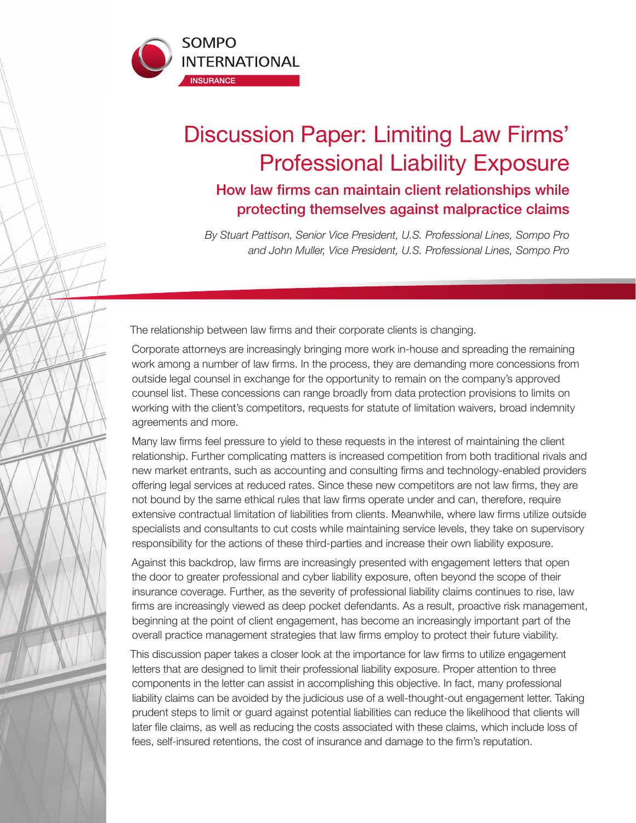

# Discussion Paper: Limiting Law Firms' Professional Liability Exposure

How law firms can maintain client relationships while protecting themselves against malpractice claims

*By Stuart Pattison, Senior Vice President, U.S. Professional Lines, Sompo Pro and John Muller, Vice President, U.S. Professional Lines, Sompo Pro*

The relationship between law firms and their corporate clients is changing.

Corporate attorneys are increasingly bringing more work in-house and spreading the remaining work among a number of law firms. In the process, they are demanding more concessions from outside legal counsel in exchange for the opportunity to remain on the company's approved counsel list. These concessions can range broadly from data protection provisions to limits on working with the client's competitors, requests for statute of limitation waivers, broad indemnity agreements and more.

Many law firms feel pressure to yield to these requests in the interest of maintaining the client relationship. Further complicating matters is increased competition from both traditional rivals and new market entrants, such as accounting and consulting firms and technology-enabled providers offering legal services at reduced rates. Since these new competitors are not law firms, they are not bound by the same ethical rules that law firms operate under and can, therefore, require extensive contractual limitation of liabilities from clients. Meanwhile, where law firms utilize outside specialists and consultants to cut costs while maintaining service levels, they take on supervisory responsibility for the actions of these third-parties and increase their own liability exposure.

Against this backdrop, law firms are increasingly presented with engagement letters that open the door to greater professional and cyber liability exposure, often beyond the scope of their insurance coverage. Further, as the severity of professional liability claims continues to rise, law firms are increasingly viewed as deep pocket defendants. As a result, proactive risk management, beginning at the point of client engagement, has become an increasingly important part of the overall practice management strategies that law firms employ to protect their future viability.

This discussion paper takes a closer look at the importance for law firms to utilize engagement letters that are designed to limit their professional liability exposure. Proper attention to three components in the letter can assist in accomplishing this objective. In fact, many professional liability claims can be avoided by the judicious use of a well-thought-out engagement letter. Taking prudent steps to limit or guard against potential liabilities can reduce the likelihood that clients will later file claims, as well as reducing the costs associated with these claims, which include loss of fees, self-insured retentions, the cost of insurance and damage to the firm's reputation.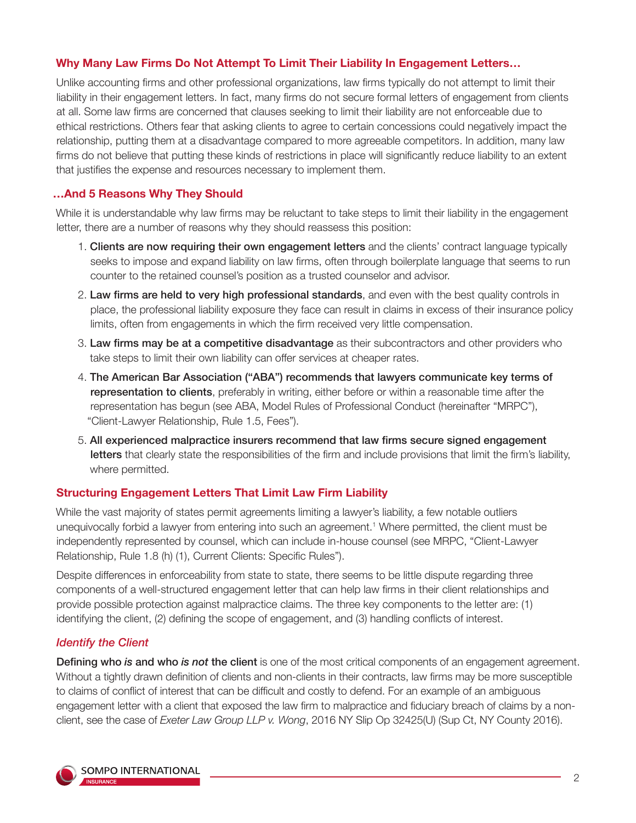## **Why Many Law Firms Do Not Attempt To Limit Their Liability In Engagement Letters…**

Unlike accounting firms and other professional organizations, law firms typically do not attempt to limit their liability in their engagement letters. In fact, many firms do not secure formal letters of engagement from clients at all. Some law firms are concerned that clauses seeking to limit their liability are not enforceable due to ethical restrictions. Others fear that asking clients to agree to certain concessions could negatively impact the relationship, putting them at a disadvantage compared to more agreeable competitors. In addition, many law firms do not believe that putting these kinds of restrictions in place will significantly reduce liability to an extent that justifies the expense and resources necessary to implement them.

### **…And 5 Reasons Why They Should**

While it is understandable why law firms may be reluctant to take steps to limit their liability in the engagement letter, there are a number of reasons why they should reassess this position:

- 1. Clients are now requiring their own engagement letters and the clients' contract language typically seeks to impose and expand liability on law firms, often through boilerplate language that seems to run counter to the retained counsel's position as a trusted counselor and advisor.
- 2. Law firms are held to very high professional standards, and even with the best quality controls in place, the professional liability exposure they face can result in claims in excess of their insurance policy limits, often from engagements in which the firm received very little compensation.
- 3. Law firms may be at a competitive disadvantage as their subcontractors and other providers who take steps to limit their own liability can offer services at cheaper rates.
- 4. The American Bar Association ("ABA") recommends that lawyers communicate key terms of representation to clients, preferably in writing, either before or within a reasonable time after the representation has begun (see ABA, Model Rules of Professional Conduct (hereinafter "MRPC"), "Client-Lawyer Relationship, Rule 1.5, Fees").
- 5. All experienced malpractice insurers recommend that law firms secure signed engagement letters that clearly state the responsibilities of the firm and include provisions that limit the firm's liability, where permitted.

### **Structuring Engagement Letters That Limit Law Firm Liability**

While the vast majority of states permit agreements limiting a lawyer's liability, a few notable outliers unequivocally forbid a lawyer from entering into such an agreement.<sup>1</sup> Where permitted, the client must be independently represented by counsel, which can include in-house counsel (see MRPC, "Client-Lawyer Relationship, Rule 1.8 (h) (1), Current Clients: Specific Rules").

Despite differences in enforceability from state to state, there seems to be little dispute regarding three components of a well-structured engagement letter that can help law firms in their client relationships and provide possible protection against malpractice claims. The three key components to the letter are: (1) identifying the client, (2) defining the scope of engagement, and (3) handling conflicts of interest.

### *Identify the Client*

Defining who *is* and who *is not* the client is one of the most critical components of an engagement agreement. Without a tightly drawn definition of clients and non-clients in their contracts, law firms may be more susceptible to claims of conflict of interest that can be difficult and costly to defend. For an example of an ambiguous engagement letter with a client that exposed the law firm to malpractice and fiduciary breach of claims by a nonclient, see the case of *Exeter Law Group LLP v. Wong*, 2016 NY Slip Op 32425(U) (Sup Ct, NY County 2016).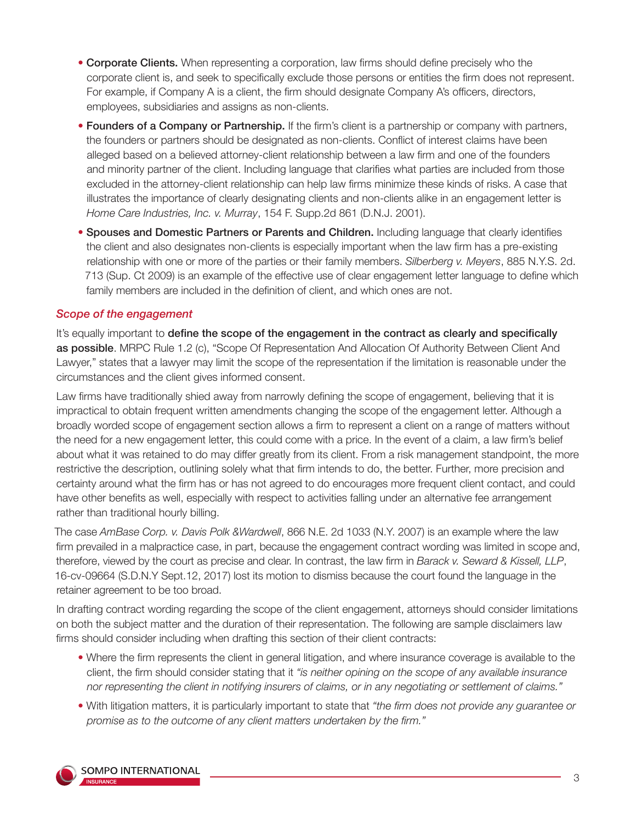- Corporate Clients. When representing a corporation, law firms should define precisely who the corporate client is, and seek to specifically exclude those persons or entities the firm does not represent. For example, if Company A is a client, the firm should designate Company A's officers, directors, employees, subsidiaries and assigns as non-clients.
- Founders of a Company or Partnership. If the firm's client is a partnership or company with partners, the founders or partners should be designated as non-clients. Conflict of interest claims have been alleged based on a believed attorney-client relationship between a law firm and one of the founders and minority partner of the client. Including language that clarifies what parties are included from those excluded in the attorney-client relationship can help law firms minimize these kinds of risks. A case that illustrates the importance of clearly designating clients and non-clients alike in an engagement letter is *Home Care Industries, Inc. v. Murray*, 154 F. Supp.2d 861 (D.N.J. 2001).
- Spouses and Domestic Partners or Parents and Children. Including language that clearly identifies the client and also designates non-clients is especially important when the law firm has a pre-existing relationship with one or more of the parties or their family members. *Silberberg v. Meyers*, 885 N.Y.S. 2d. 713 (Sup. Ct 2009) is an example of the effective use of clear engagement letter language to define which family members are included in the definition of client, and which ones are not.

## *Scope of the engagement*

It's equally important to **define the scope of the engagement in the contract as clearly and specifically** as possible. MRPC Rule 1.2 (c), "Scope Of Representation And Allocation Of Authority Between Client And Lawyer," states that a lawyer may limit the scope of the representation if the limitation is reasonable under the circumstances and the client gives informed consent.

Law firms have traditionally shied away from narrowly defining the scope of engagement, believing that it is impractical to obtain frequent written amendments changing the scope of the engagement letter. Although a broadly worded scope of engagement section allows a firm to represent a client on a range of matters without the need for a new engagement letter, this could come with a price. In the event of a claim, a law firm's belief about what it was retained to do may differ greatly from its client. From a risk management standpoint, the more restrictive the description, outlining solely what that firm intends to do, the better. Further, more precision and certainty around what the firm has or has not agreed to do encourages more frequent client contact, and could have other benefits as well, especially with respect to activities falling under an alternative fee arrangement rather than traditional hourly billing.

The case *AmBase Corp. v. Davis Polk &Wardwell*, 866 N.E. 2d 1033 (N.Y. 2007) is an example where the law firm prevailed in a malpractice case, in part, because the engagement contract wording was limited in scope and, therefore, viewed by the court as precise and clear. In contrast, the law firm in *Barack v. Seward & Kissell, LLP*, 16-cv-09664 (S.D.N.Y Sept.12, 2017) lost its motion to dismiss because the court found the language in the retainer agreement to be too broad.

In drafting contract wording regarding the scope of the client engagement, attorneys should consider limitations on both the subject matter and the duration of their representation. The following are sample disclaimers law firms should consider including when drafting this section of their client contracts:

- Where the firm represents the client in general litigation, and where insurance coverage is available to the client, the firm should consider stating that it *"is neither opining on the scope of any available insurance nor representing the client in notifying insurers of claims, or in any negotiating or settlement of claims."*
- With litigation matters, it is particularly important to state that *"the firm does not provide any guarantee or promise as to the outcome of any client matters undertaken by the firm."*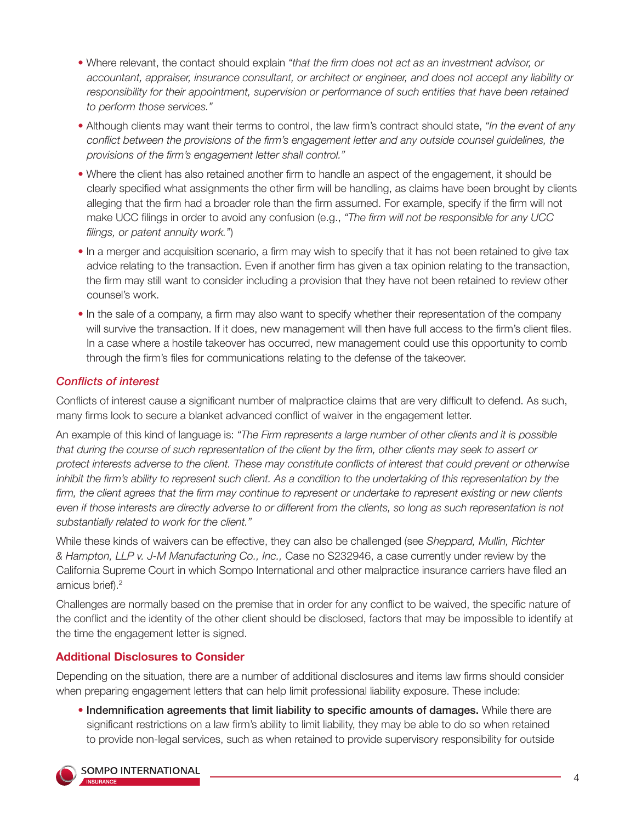- Where relevant, the contact should explain *"that the firm does not act as an investment advisor, or accountant, appraiser, insurance consultant, or architect or engineer, and does not accept any liability or responsibility for their appointment, supervision or performance of such entities that have been retained to perform those services."*
- Although clients may want their terms to control, the law firm's contract should state, *"In the event of any conflict between the provisions of the firm's engagement letter and any outside counsel guidelines, the provisions of the firm's engagement letter shall control."*
- Where the client has also retained another firm to handle an aspect of the engagement, it should be clearly specified what assignments the other firm will be handling, as claims have been brought by clients alleging that the firm had a broader role than the firm assumed. For example, specify if the firm will not make UCC filings in order to avoid any confusion (e.g., *"The firm will not be responsible for any UCC filings, or patent annuity work."*)
- In a merger and acquisition scenario, a firm may wish to specify that it has not been retained to give tax advice relating to the transaction. Even if another firm has given a tax opinion relating to the transaction, the firm may still want to consider including a provision that they have not been retained to review other counsel's work.
- In the sale of a company, a firm may also want to specify whether their representation of the company will survive the transaction. If it does, new management will then have full access to the firm's client files. In a case where a hostile takeover has occurred, new management could use this opportunity to comb through the firm's files for communications relating to the defense of the takeover.

# *Conflicts of interest*

Conflicts of interest cause a significant number of malpractice claims that are very difficult to defend. As such, many firms look to secure a blanket advanced conflict of waiver in the engagement letter.

An example of this kind of language is: *"The Firm represents a large number of other clients and it is possible that during the course of such representation of the client by the firm, other clients may seek to assert or protect interests adverse to the client. These may constitute conflicts of interest that could prevent or otherwise*  inhibit the firm's ability to represent such client. As a condition to the undertaking of this representation by the *firm, the client agrees that the firm may continue to represent or undertake to represent existing or new clients even if those interests are directly adverse to or different from the clients, so long as such representation is not substantially related to work for the client."* 

While these kinds of waivers can be effective, they can also be challenged (see *Sheppard, Mullin, Richter & Hampton, LLP v. J-M Manufacturing Co., Inc.,* Case no S232946, a case currently under review by the California Supreme Court in which Sompo International and other malpractice insurance carriers have filed an amicus brief).<sup>2</sup>

Challenges are normally based on the premise that in order for any conflict to be waived, the specific nature of the conflict and the identity of the other client should be disclosed, factors that may be impossible to identify at the time the engagement letter is signed.

# **Additional Disclosures to Consider**

Depending on the situation, there are a number of additional disclosures and items law firms should consider when preparing engagement letters that can help limit professional liability exposure. These include:

• Indemnification agreements that limit liability to specific amounts of damages. While there are significant restrictions on a law firm's ability to limit liability, they may be able to do so when retained to provide non-legal services, such as when retained to provide supervisory responsibility for outside

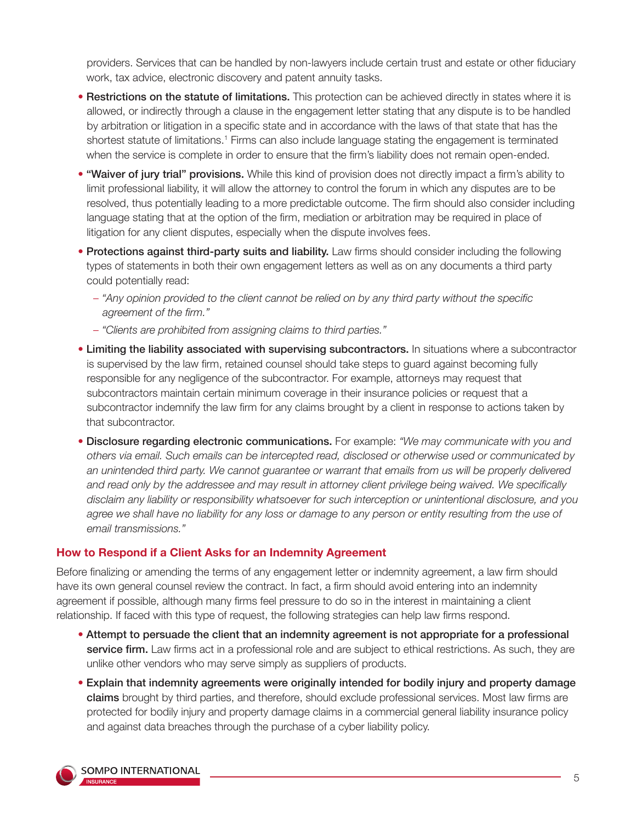providers. Services that can be handled by non-lawyers include certain trust and estate or other fiduciary work, tax advice, electronic discovery and patent annuity tasks.

- Restrictions on the statute of limitations. This protection can be achieved directly in states where it is allowed, or indirectly through a clause in the engagement letter stating that any dispute is to be handled by arbitration or litigation in a specific state and in accordance with the laws of that state that has the shortest statute of limitations.<sup>1</sup> Firms can also include language stating the engagement is terminated when the service is complete in order to ensure that the firm's liability does not remain open-ended.
- "Waiver of jury trial" provisions. While this kind of provision does not directly impact a firm's ability to limit professional liability, it will allow the attorney to control the forum in which any disputes are to be resolved, thus potentially leading to a more predictable outcome. The firm should also consider including language stating that at the option of the firm, mediation or arbitration may be required in place of litigation for any client disputes, especially when the dispute involves fees.
- Protections against third-party suits and liability. Law firms should consider including the following types of statements in both their own engagement letters as well as on any documents a third party could potentially read:
	- *"Any opinion provided to the client cannot be relied on by any third party without the specific agreement of the firm."*
	- *"Clients are prohibited from assigning claims to third parties."*
- Limiting the liability associated with supervising subcontractors. In situations where a subcontractor is supervised by the law firm, retained counsel should take steps to guard against becoming fully responsible for any negligence of the subcontractor. For example, attorneys may request that subcontractors maintain certain minimum coverage in their insurance policies or request that a subcontractor indemnify the law firm for any claims brought by a client in response to actions taken by that subcontractor.
- Disclosure regarding electronic communications. For example: *"We may communicate with you and others via email. Such emails can be intercepted read, disclosed or otherwise used or communicated by*  an unintended third party. We cannot quarantee or warrant that emails from us will be properly delivered *and read only by the addressee and may result in attorney client privilege being waived. We specifically disclaim any liability or responsibility whatsoever for such interception or unintentional disclosure, and you agree we shall have no liability for any loss or damage to any person or entity resulting from the use of email transmissions."*

# **How to Respond if a Client Asks for an Indemnity Agreement**

Before finalizing or amending the terms of any engagement letter or indemnity agreement, a law firm should have its own general counsel review the contract. In fact, a firm should avoid entering into an indemnity agreement if possible, although many firms feel pressure to do so in the interest in maintaining a client relationship. If faced with this type of request, the following strategies can help law firms respond.

- Attempt to persuade the client that an indemnity agreement is not appropriate for a professional service firm. Law firms act in a professional role and are subject to ethical restrictions. As such, they are unlike other vendors who may serve simply as suppliers of products.
- Explain that indemnity agreements were originally intended for bodily injury and property damage claims brought by third parties, and therefore, should exclude professional services. Most law firms are protected for bodily injury and property damage claims in a commercial general liability insurance policy and against data breaches through the purchase of a cyber liability policy.